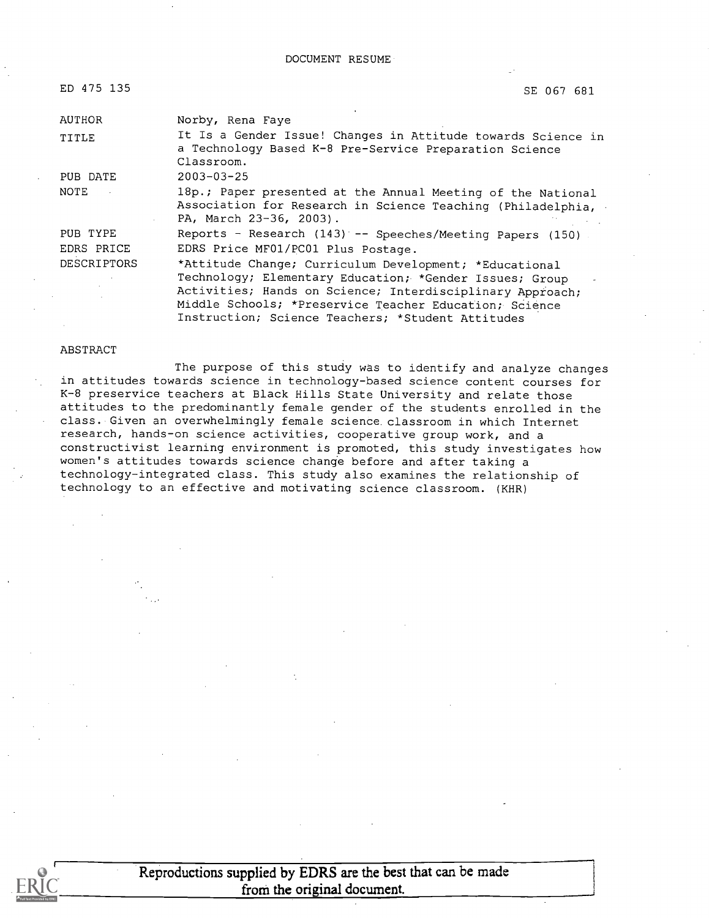DOCUMENT RESUME

| ED 475 135         | SE 067 681                                                                                                                                                                                                                                                                                    |
|--------------------|-----------------------------------------------------------------------------------------------------------------------------------------------------------------------------------------------------------------------------------------------------------------------------------------------|
| <b>AUTHOR</b>      | Norby, Rena Faye                                                                                                                                                                                                                                                                              |
| TITLE              | It Is a Gender Issue! Changes in Attitude towards Science in<br>a Technology Based K-8 Pre-Service Preparation Science<br>Classroom.                                                                                                                                                          |
| PUB DATE           | $2003 - 03 - 25$                                                                                                                                                                                                                                                                              |
| NOTE               | 18p.; Paper presented at the Annual Meeting of the National<br>Association for Research in Science Teaching (Philadelphia,<br>PA, March 23-36, 2003).                                                                                                                                         |
| PUB TYPE           | Reports - Research $(143)$ -- Speeches/Meeting Papers $(150)$ .                                                                                                                                                                                                                               |
| EDRS PRICE         | EDRS Price MF01/PC01 Plus Postage.                                                                                                                                                                                                                                                            |
| <b>DESCRIPTORS</b> | *Attitude Change; Curriculum Development; *Educational<br>Technology; Elementary Education; *Gender Issues; Group<br>Activities; Hands on Science; Interdisciplinary Approach;<br>Middle Schools; *Preservice Teacher Education; Science<br>Instruction; Science Teachers; *Student Attitudes |

#### ABSTRACT

The purpose of this study was to identify and analyze changes in attitudes towards science in technology-based science content courses for K-8 preservice teachers at Black Hills State University and relate those attitudes to the predominantly female gender of the students enrolled in the class. Given an overwhelmingly female science classroom in which Internet research, hands-on science activities, cooperative group work, and a constructivist learning environment is promoted, this study investigates how women's attitudes towards science change before and after taking a technology-integrated class. This study also examines the relationship of technology to an effective and motivating science classroom. (KHR)



Reproductions supplied by EDRS are the best that can be made from the original document.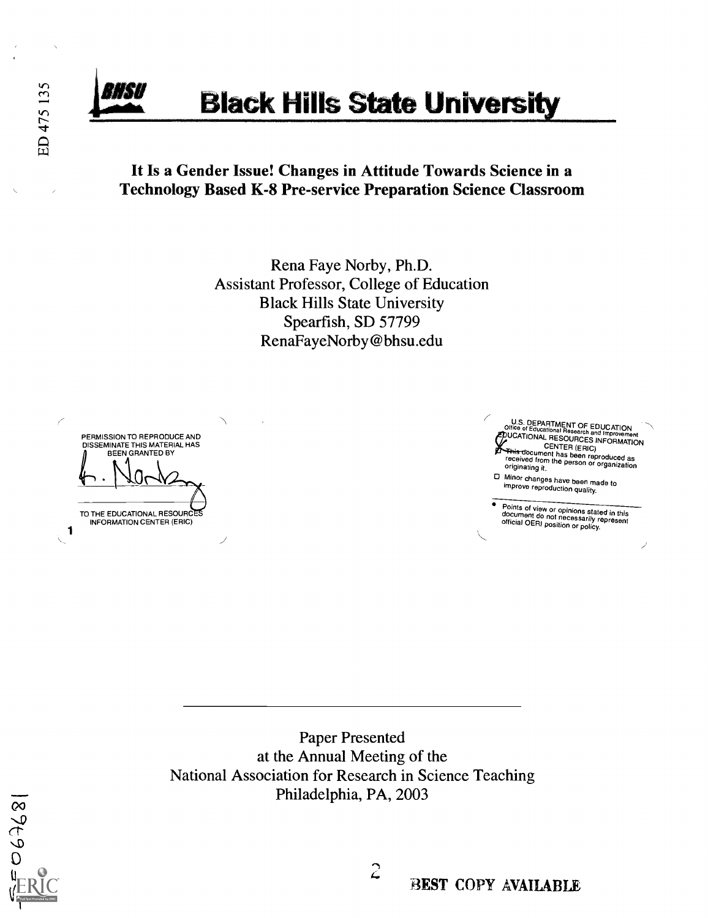ED 475 135

# **Black Hills State University**

### It Is a Gender Issue! Changes in Attitude Towards Science in a Technology Based K-8 Pre-service Preparation Science Classroom

Rena Faye Norby, Ph.D. Assistant Professor, College of Education Black Hills State University Spearfish, SD 57799 RenaFayeNorby@bhsu.edu

PERMISSION TO REPRODUCE AND DISSEMINATE THIS MATERIAL HAS BEEN GRANTED BY TO THE EDUCATIONAL RESOURC INFORMATION CENTER (ERIC)  $\mathbf{1}$ 

U.S. DEPARTMENT OF EDUCATION<br>Office of Educational Research and Imaging Office of Educational Research and Improvement<br>COUCATIONAL RESOURCES INFORMATION **CERTED LENTER**<br>This document has been reproduced as<br>freceived from the person or organization<br>originating it.

Minor changes have been made to improve reproductionquality.

Points of view or opinions stated in this document do not necessarily represent official OERI position or policy.

Paper Presented at the Annual Meeting of the National Association for Research in Science Teaching Philadelphia, PA, 2003

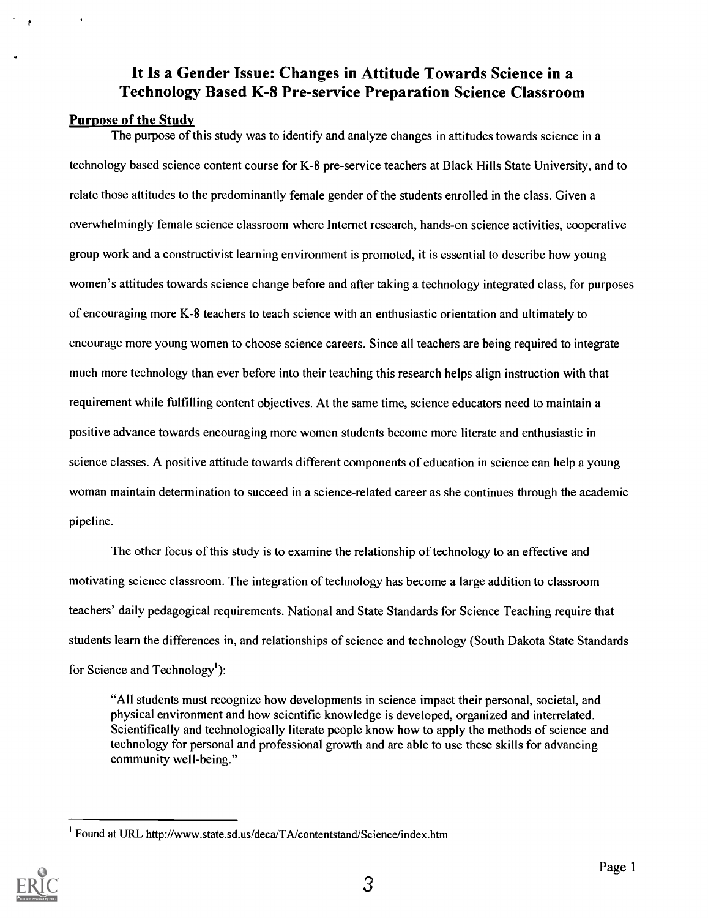### It Is a Gender Issue: Changes in Attitude Towards Science in a Technology Based K-8 Pre-service Preparation Science Classroom

#### Purpose of the Study

The purpose of this study was to identify and analyze changes in attitudes towards science in a technology based science content course for K-8 pre-service teachers at Black Hills State University, and to relate those attitudes to the predominantly female gender of the students enrolled in the class. Given a overwhelmingly female science classroom where Internet research, hands-on science activities, cooperative group work and a constructivist learning environment is promoted, it is essential to describe how young women's attitudes towards science change before and after taking a technology integrated class, for purposes of encouraging more K-8 teachers to teach science with an enthusiastic orientation and ultimately to encourage more young women to choose science careers. Since all teachers are being required to integrate much more technology than ever before into their teaching this research helps align instruction with that requirement while fulfilling content objectives. At the same time, science educators need to maintain a positive advance towards encouraging more women students become more literate and enthusiastic in science classes. A positive attitude towards different components of education in science can help a young woman maintain determination to succeed in a science-related career as she continues through the academic pipeline.

The other focus of this study is to examine the relationship of technology to an effective and motivating science classroom. The integration of technology has become a large addition to classroom teachers' daily pedagogical requirements. National and State Standards for Science Teaching require that students learn the differences in, and relationships of science and technology (South Dakota State Standards for Science and Technology<sup>1</sup>):

"All students must recognize how developments in science impact their personal, societal, and physical environment and how scientific knowledge is developed, organized and interrelated. Scientifically and technologically literate people know how to apply the methods of science and technology for personal and professional growth and are able to use these skills for advancing community well-being."

<sup>&</sup>lt;sup>1</sup> Found at URL http://www.state.sd.us/deca/TA/contentstand/Science/index.htm

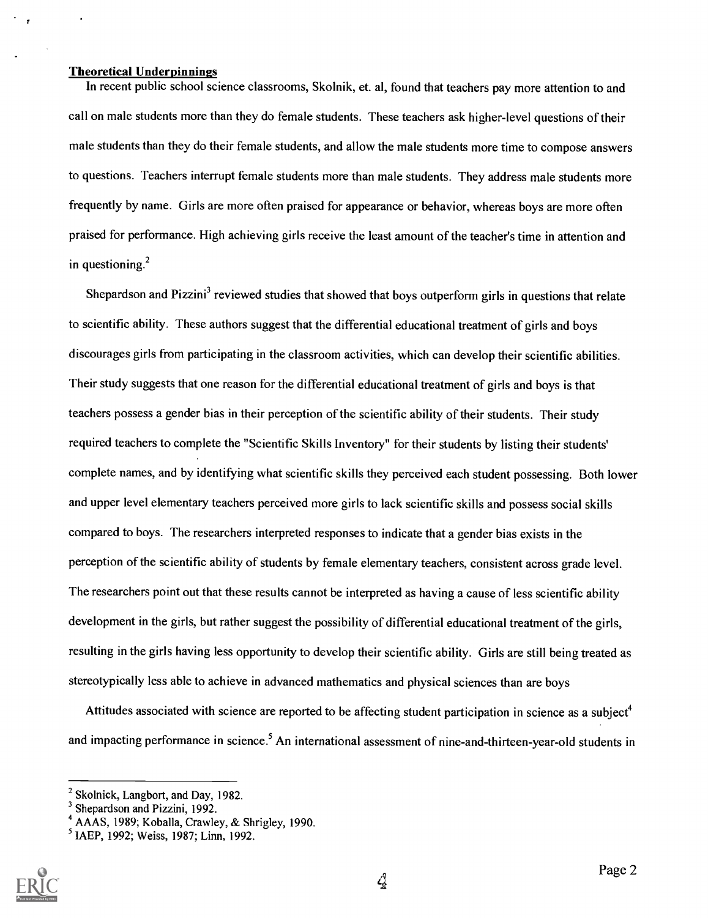#### Theoretical Underpinnings

In recent public school science classrooms, Skolnik, et. al, found that teachers pay more attention to and call on male students more than they do female students. These teachers ask higher-level questions of their male students than they do their female students, and allow the male students more time to compose answers to questions. Teachers interrupt female students more than male students. They address male students more frequently by name. Girls are more often praised for appearance or behavior, whereas boys are more often praised for performance. High achieving girls receive the least amount of the teacher's time in attention and in questioning. $2$ 

Shepardson and Pizzini<sup>3</sup> reviewed studies that showed that boys outperform girls in questions that relate to scientific ability. These authors suggest that the differential educational treatment of girls and boys discourages girls from participating in the classroom activities, which can develop their scientific abilities. Their study suggests that one reason for the differential educational treatment of girls and boys is that teachers possess a gender bias in their perception of the scientific ability of their students. Their study required teachers to complete the "Scientific Skills Inventory" for their students by listing their students' complete names, and by identifying what scientific skills they perceived each student possessing. Both lower and upper level elementary teachers perceived more girls to lack scientific skills and possess social skills compared to boys. The researchers interpreted responses to indicate that a gender bias exists in the perception of the scientific ability of students by female elementary teachers, consistent across grade level. The researchers point out that these results cannot be interpreted as having a cause of less scientific ability development in the girls, but rather suggest the possibility of differential educational treatment of the girls, resulting in the girls having less opportunity to develop their scientific ability. Girls are still being treated as stereotypically less able to achieve in advanced mathematics and physical sciences than are boys

Attitudes associated with science are reported to be affecting student participation in science as a subject<sup>4</sup> and impacting performance in science.<sup>5</sup> An international assessment of nine-and-thirteen-year-old students in

<sup>5</sup> IAEP, 1992; Weiss, 1987; Linn, 1992.



 $^2$  Skolnick, Langbort, and Day, 1982.<br><sup>3</sup> Shepardson and Pizzini, 1992.

<sup>&</sup>lt;sup>4</sup> AAAS, 1989; Koballa, Crawley, & Shrigley, 1990.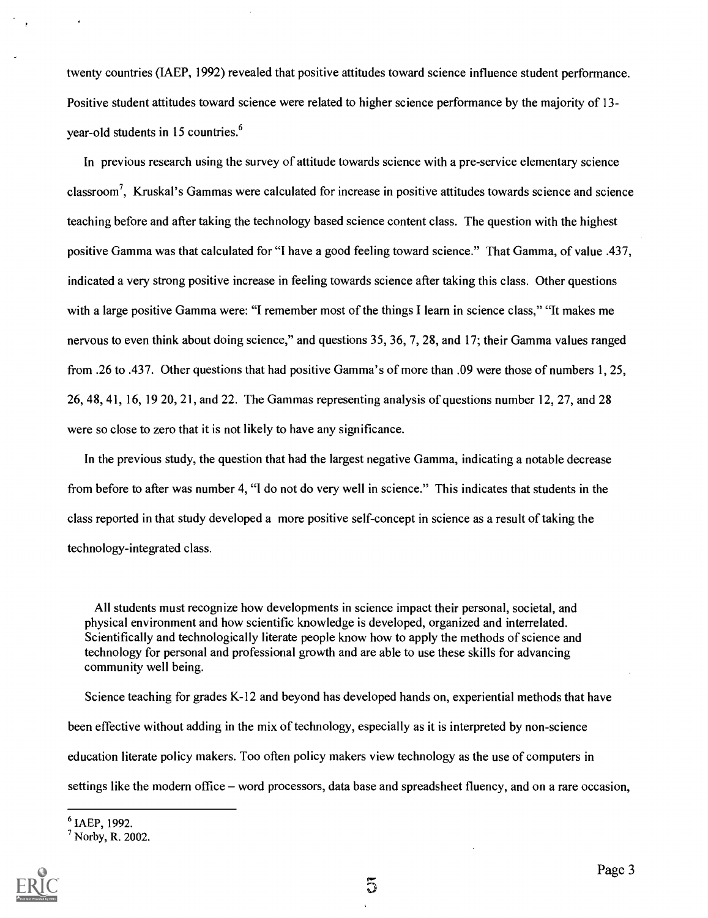twenty countries (IAEP, 1992) revealed that positive attitudes toward science influence student performance. Positive student attitudes toward science were related to higher science performance by the majority of 13 year-old students in 15 countries.<sup>6</sup>

In previous research using the survey of attitude towards science with a pre-service elementary science classroom', Kruskal's Gammas were calculated for increase in positive attitudes towards science and science teaching before and after taking the technology based science content class. The question with the highest positive Gamma was that calculated for "I have a good feeling toward science." That Gamma, of value .437, indicated a very strong positive increase in feeling towards science after taking this class. Other questions with a large positive Gamma were: "I remember most of the things I learn in science class," "It makes me nervous to even think about doing science," and questions 35, 36, 7, 28, and 17; their Gamma values ranged from .26 to .437. Other questions that had positive Gamma's of more than .09 were those of numbers 1, 25, 26, 48, 41, 16, 19 20, 21, and 22. The Gammas representing analysis of questions number 12, 27, and 28 were so close to zero that it is not likely to have any significance.

In the previous study, the question that had the largest negative Gamma, indicating a notable decrease from before to after was number 4, "I do not do very well in science." This indicates that students in the class reported in that study developed a more positive self-concept in science as a result of taking the technology-integrated class.

All students must recognize how developments in science impact their personal, societal, and physical environment and how scientific knowledge is developed, organized and interrelated. Scientifically and technologically literate people know how to apply the methods of science and technology for personal and professional growth and are able to use these skills for advancing community well being.

Science teaching for grades K-12 and beyond has developed hands on, experiential methods that have been effective without adding in the mix of technology, especially as it is interpreted by non-science education literate policy makers. Too often policy makers view technology as the use of computers in settings like the modern office – word processors, data base and spreadsheet fluency, and on a rare occasion,

6 IAEP, 1992.

<sup>7</sup> Norby, R. 2002.

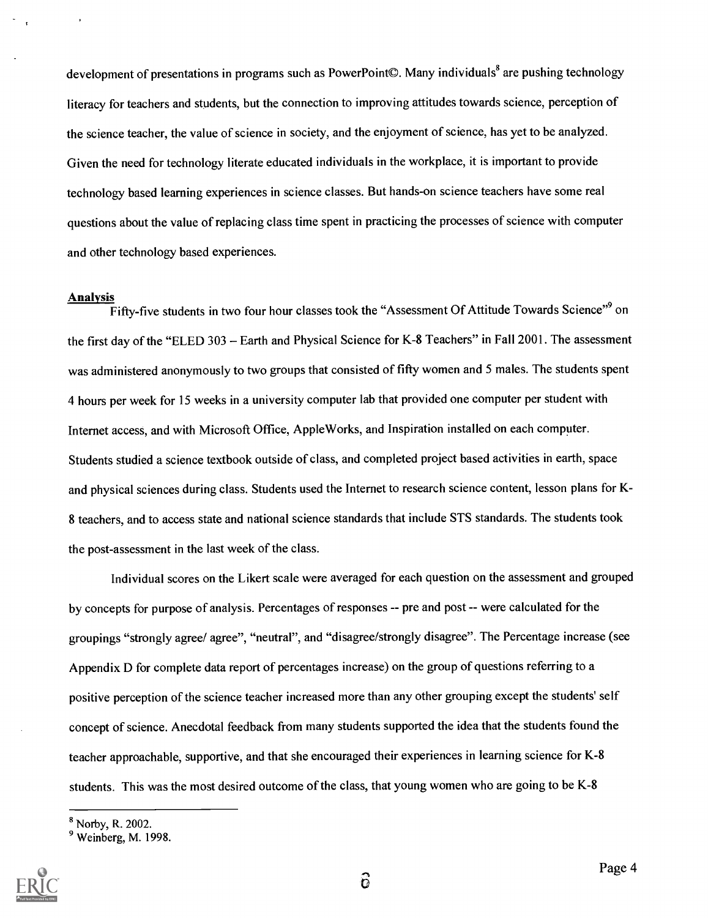development of presentations in programs such as PowerPoint©. Many individuals<sup>8</sup> are pushing technology literacy for teachers and students, but the connection to improving attitudes towards science, perception of the science teacher, the value of science in society, and the enjoyment of science, has yet to be analyzed. Given the need for technology literate educated individuals in the workplace, it is important to provide technology based learning experiences in science classes. But hands-on science teachers have some real questions about the value of replacing class time spent in practicing the processes of science with computer and other technology based experiences.

#### Analysis

Fifty-five students in two four hour classes took the "Assessment Of Attitude Towards Science"<sup>9</sup> on the first day of the "ELED 303 - Earth and Physical Science for K-8 Teachers" in Fall 2001. The assessment was administered anonymously to two groups that consisted of fifty women and 5 males. The students spent 4 hours per week for 15 weeks in a university computer lab that provided one computer per student with Internet access, and with Microsoft Office, AppleWorks, and Inspiration installed on each computer. Students studied a science textbook outside of class, and completed project based activities in earth, space and physical sciences during class. Students used the Internet to research science content, lesson plans for K-8 teachers, and to access state and national science standards that include STS standards. The students took the post-assessment in the last week of the class.

Individual scores on the Likert scale were averaged for each question on the assessment and grouped by concepts for purpose of analysis. Percentages of responses -- pre and post -- were calculated for the groupings "strongly agree/ agree", "neutral", and "disagree/strongly disagree". The Percentage increase (see Appendix D for complete data report of percentages increase) on the group of questions referring to a positive perception of the science teacher increased more than any other grouping except the students' self concept of science. Anecdotal feedback from many students supported the idea that the students found the teacher approachable, supportive, and that she encouraged their experiences in learning science for K-8 students. This was the most desired outcome of the class, that young women who are going to be K-8

<sup>&</sup>lt;sup>9</sup> Weinberg, M. 1998.



Page 4

<sup>8</sup> Norby, R. 2002.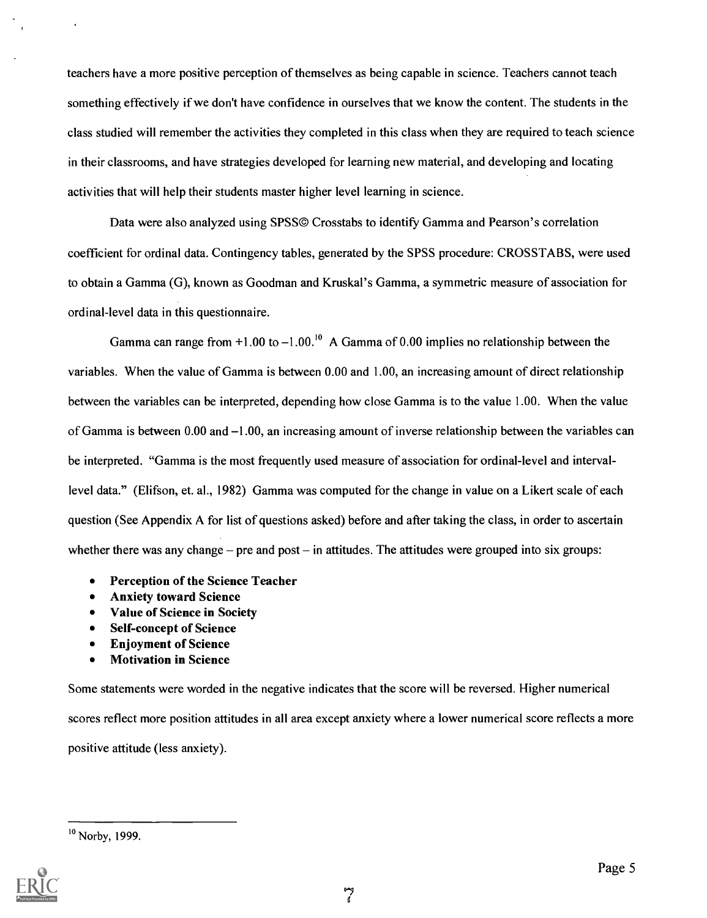teachers have a more positive perception of themselves as being capable in science. Teachers cannot teach something effectively if we don't have confidence in ourselves that we know the content. The students in the class studied will remember the activities they completed in this class when they are required to teach science in their classrooms, and have strategies developed for learning new material, and developing and locating activities that will help their students master higher level learning in science.

Data were also analyzed using SPSS© Crosstabs to identify Gamma and Pearson's correlation coefficient for ordinal data. Contingency tables, generated by the SPSS procedure: CROSSTABS, were used to obtain a Gamma (G), known as Goodman and Kruskal's Gamma, a symmetric measure of association for ordinal-level data in this questionnaire.

Gamma can range from  $+1.00$  to  $-1.00$ .<sup>10</sup> A Gamma of 0.00 implies no relationship between the variables. When the value of Gamma is between 0.00 and 1.00, an increasing amount of direct relationship between the variables can be interpreted, depending how close Gamma is to the value 1.00. When the value of Gamma is between  $0.00$  and  $-1.00$ , an increasing amount of inverse relationship between the variables can be interpreted. "Gamma is the most frequently used measure of association for ordinal-level and intervallevel data." (Elifson, et. al., 1982) Gamma was computed for the change in value on a Likert scale of each question (See Appendix A for list of questions asked) before and after taking the class, in order to ascertain whether there was any change  $-$  pre and post  $-$  in attitudes. The attitudes were grouped into six groups:

- Perception of the Science Teacher  $\bullet$
- Anxiety toward Science
- Value of Science in Society
- Self-concept of Science
- $\bullet$ Enjoyment of Science
- Motivation in Science

Some statements were worded in the negative indicates that the score will be reversed. Higher numerical scores reflect more position attitudes in all area except anxiety where a lower numerical score reflects a more positive attitude (less anxiety).

<sup>&</sup>lt;sup>10</sup> Norby, 1999.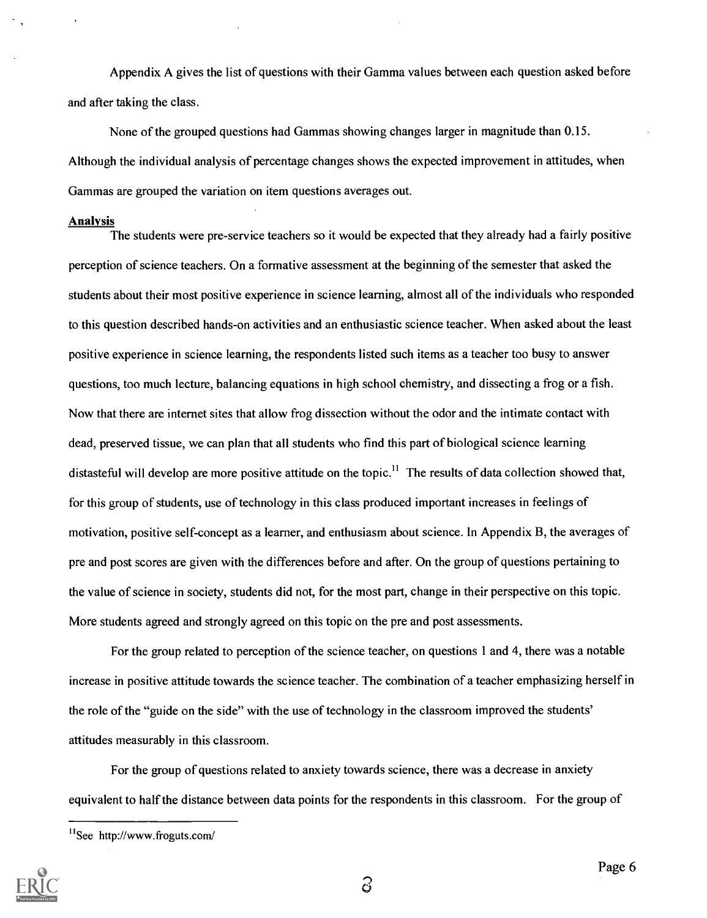Appendix A gives the list of questions with their Gamma values between each question asked before and after taking the class.

None of the grouped questions had Gammas showing changes larger in magnitude than 0.15. Although the individual analysis of percentage changes shows the expected improvement in attitudes, when Gammas are grouped the variation on item questions averages out.

#### Analysis

The students were pre-service teachers so it would be expected that they already had a fairly positive perception of science teachers. On a formative assessment at the beginning of the semester that asked the students about their most positive experience in science learning, almost all of the individuals who responded to this question described hands-on activities and an enthusiastic science teacher. When asked about the least positive experience in science learning, the respondents listed such items as a teacher too busy to answer questions, too much lecture, balancing equations in high school chemistry, and dissecting a frog or a fish. Now that there are internet sites that allow frog dissection without the odor and the intimate contact with dead, preserved tissue, we can plan that all students who find this part of biological science learning distasteful will develop are more positive attitude on the topic.<sup>11</sup> The results of data collection showed that, for this group of students, use of technology in this class produced important increases in feelings of motivation, positive self-concept as a learner, and enthusiasm about science. In Appendix B, the averages of pre and post scores are given with the differences before and after. On the group of questions pertaining to the value of science in society, students did not, for the most part, change in their perspective on this topic. More students agreed and strongly agreed on this topic on the pre and post assessments.

For the group related to perception of the science teacher, on questions 1 and 4, there was a notable increase in positive attitude towards the science teacher. The combination of a teacher emphasizing herself in the role of the "guide on the side" with the use of technology in the classroom improved the students' attitudes measurably in this classroom.

For the group of questions related to anxiety towards science, there was a decrease in anxiety equivalent to half the distance between data points for the respondents in this classroom. For the group of

<sup>&</sup>quot;See http://www.froguts.com/



6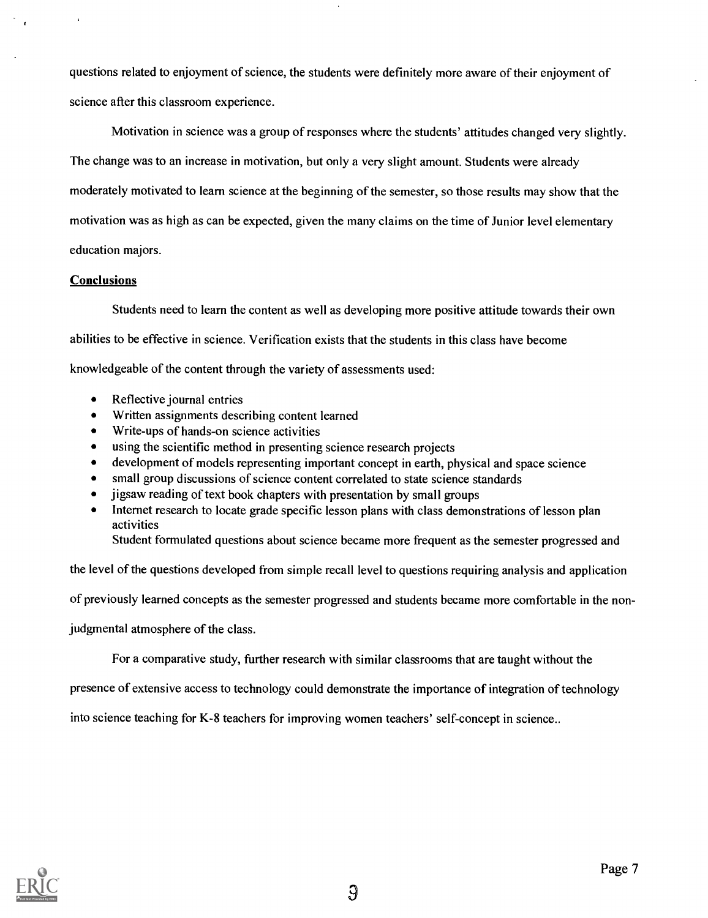questions related to enjoyment of science, the students were definitely more aware of their enjoyment of science after this classroom experience.

Motivation in science was a group of responses where the students' attitudes changed very slightly. The change was to an increase in motivation, but only a very slight amount. Students were already moderately motivated to learn science at the beginning of the semester, so those results may show that the motivation was as high as can be expected, given the many claims on the time of Junior level elementary education majors.

#### **Conclusions**

Students need to learn the content as well as developing more positive attitude towards their own abilities to be effective in science. Verification exists that the students in this class have become knowledgeable of the content through the variety of assessments used:

- Reflective journal entries  $\bullet$
- $\bullet$ Written assignments describing content learned
- Write-ups of hands-on science activities  $\bullet$
- $\bullet$ using the scientific method in presenting science research projects
- development of models representing important concept in earth, physical and space science  $\bullet$
- small group discussions of science content correlated to state science standards
- jigsaw reading of text book chapters with presentation by small groups
- Internet research to locate grade specific lesson plans with class demonstrations of lesson plan  $\bullet$ activities

Student formulated questions about science became more frequent as the semester progressed and

the level of the questions developed from simple recall level to questions requiring analysis and application

of previously learned concepts as the semester progressed and students became more comfortable in the non-

judgmental atmosphere of the class.

For a comparative study, further research with similar classrooms that are taught without the

presence of extensive access to technology could demonstrate the importance of integration of technology

into science teaching for K-8 teachers for improving women teachers' self-concept in science..

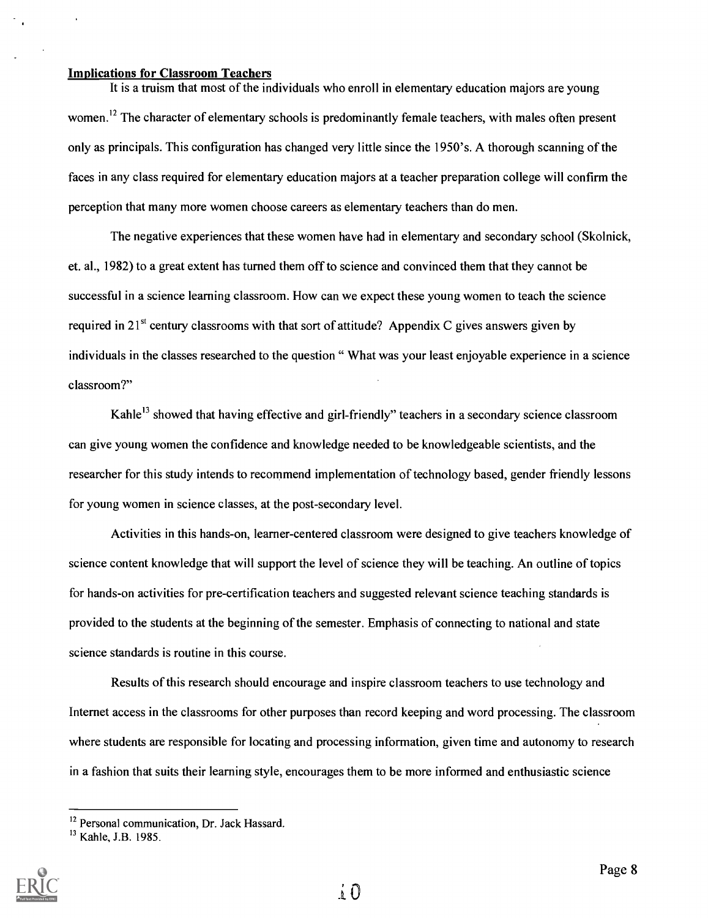#### Implications for Classroom Teachers

It is a truism that most of the individuals who enroll in elementary education majors are young women.<sup>12</sup> The character of elementary schools is predominantly female teachers, with males often present only as principals. This configuration has changed very little since the 1950's. A thorough scanning of the faces in any class required for elementary education majors at a teacher preparation college will confirm the perception that many more women choose careers as elementary teachers than do men.

The negative experiences that these women have had in elementary and secondary school (Skolnick, et. al., 1982) to a great extent has turned them off to science and convinced them that they cannot be successful in a science learning classroom. How can we expect these young women to teach the science required in 21 $^{st}$  century classrooms with that sort of attitude? Appendix C gives answers given by individuals in the classes researched to the question " What was your least enjoyable experience in a science classroom?"

Kahle<sup>13</sup> showed that having effective and girl-friendly" teachers in a secondary science classroom can give young women the confidence and knowledge needed to be knowledgeable scientists, and the researcher for this study intends to recommend implementation of technology based, gender friendly lessons for young women in science classes, at the post-secondary level.

Activities in this hands-on, learner-centered classroom were designed to give teachers knowledge of science content knowledge that will support the level of science they will be teaching. An outline of topics for hands-on activities for pre-certification teachers and suggested relevant science teaching standards is provided to the students at the beginning of the semester. Emphasis of connecting to national and state science standards is routine in this course.

Results of this research should encourage and inspire classroom teachers to use technology and Internet access in the classrooms for other purposes than record keeping and word processing. The classroom where students are responsible for locating and processing information, given time and autonomy to research in a fashion that suits their learning style, encourages them to be more informed and enthusiastic science

<sup>&</sup>lt;sup>13</sup> Kahle, J.B. 1985.



<sup>&</sup>lt;sup>12</sup> Personal communication, Dr. Jack Hassard.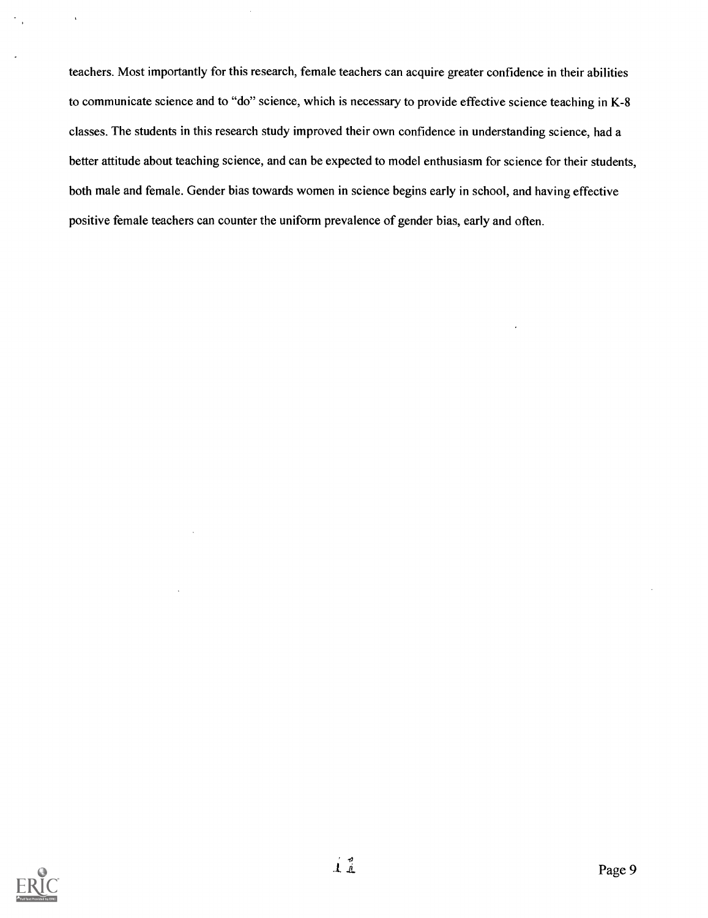teachers. Most importantly for this research, female teachers can acquire greater confidence in their abilities to communicate science and to "do" science, which is necessary to provide effective science teaching in K-8 classes. The students in this research study improved their own confidence in understanding science, had a better attitude about teaching science, and can be expected to model enthusiasm for science for their students, both male and female. Gender bias towards women in science begins early in school, and having effective positive female teachers can counter the uniform prevalence of gender bias, early and often.



 $\ddot{\phantom{1}}$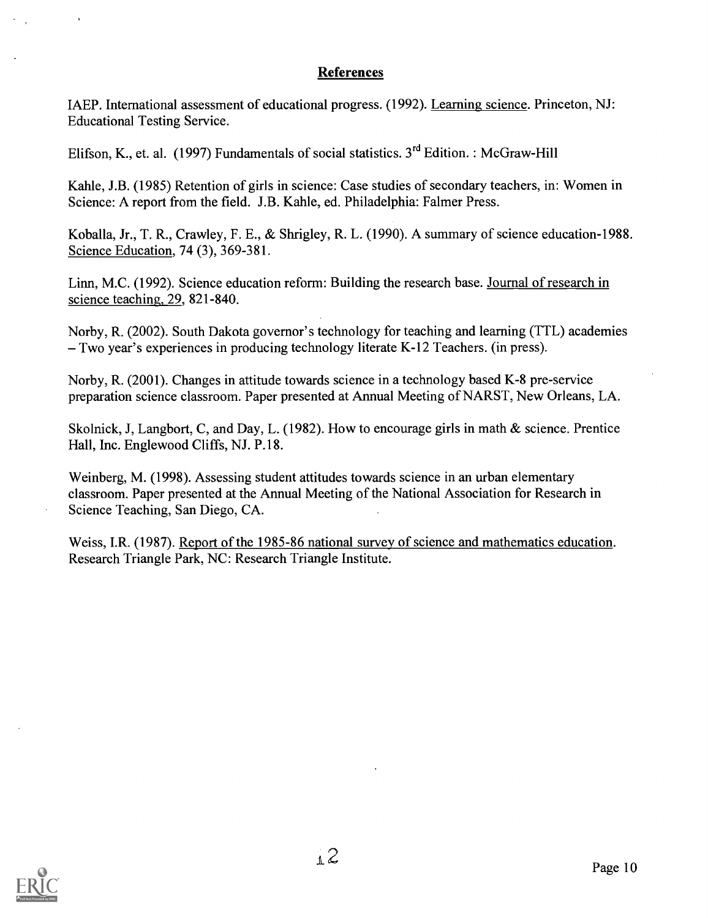#### References

IAEP. International assessment of educational progress. (1992). Learning science. Princeton, NJ: Educational Testing Service.

Elifson, K., et. al. (1997) Fundamentals of social statistics. 3rd Edition. : McGraw-Hill

Kahle, J.B. (1985) Retention of girls in science: Case studies of secondary teachers, in: Women in Science: A report from the field. J.B. Kahle, ed. Philadelphia: Falmer Press.

Koballa, Jr., T. R., Crawley, F. E., & Shrigley, R. L. (1990). A summary of science education-1988. Science Education, 74 (3), 369-381.

Linn, M.C. (1992). Science education reform: Building the research base. Journal of research in science teaching, 29, 821-840.

Norby, R. (2002). South Dakota governor's technology for teaching and learning (TTL) academies Two year's experiences in producing technology literate K-12 Teachers. (in press).

Norby, R. (2001). Changes in attitude towards science in a technology based K-8 pre-service preparation science classroom. Paper presented at Annual Meeting of NARST, New Orleans, LA.

Skolnick, J, Langbort, C, and Day, L. (1982). How to encourage girls in math & science. Prentice Hall, Inc. Englewood Cliffs, NJ. P.18.

Weinberg, M. (1998). Assessing student attitudes towards science in an urban elementary classroom. Paper presented at the Annual Meeting of the National Association for Research in Science Teaching, San Diego, CA.

Weiss, I.R. (1987). Report of the 1985-86 national survey of science and mathematics education. Research Triangle Park, NC: Research Triangle Institute.

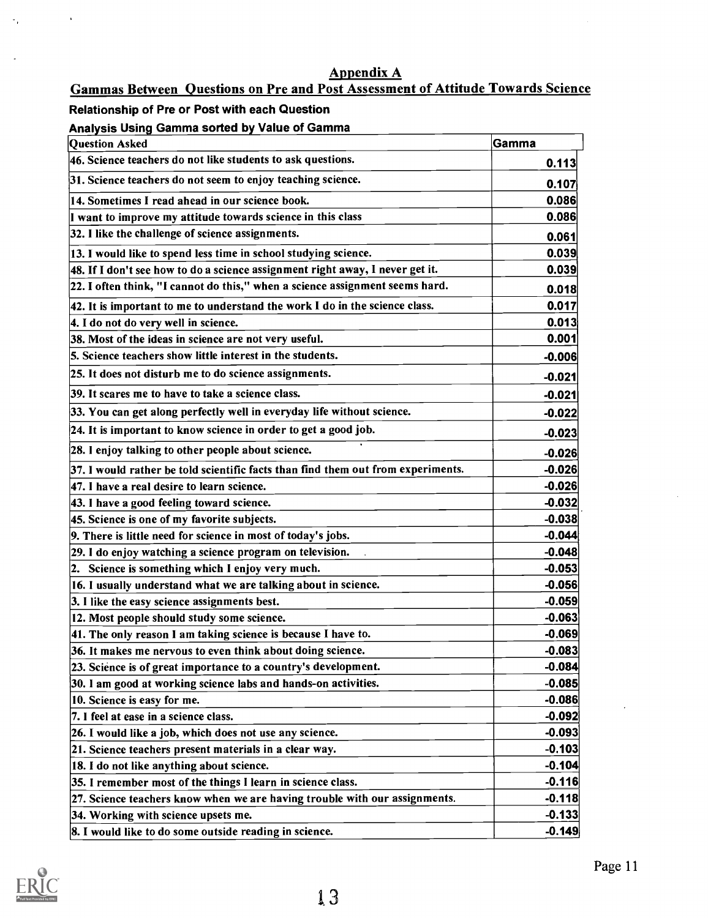### Appendix A

### Gammas Between Questions on Pre and Post Assessment of Attitude Towards Science

#### Relationship of Pre or Post with each Question

 $\star$ 

 $\gamma_{\rm{B}}$ 

#### Analysis Usinq Gamma sorted by Value of Gamma

| <b>Question Asked</b>                                                            | Gamma    |
|----------------------------------------------------------------------------------|----------|
| 46. Science teachers do not like students to ask questions.                      | 0.113    |
| 31. Science teachers do not seem to enjoy teaching science.                      | 0.107    |
| 14. Sometimes I read ahead in our science book.                                  | 0.086    |
| I want to improve my attitude towards science in this class                      | 0.086    |
| 32. I like the challenge of science assignments.                                 | 0.061    |
| 13. I would like to spend less time in school studying science.                  | 0.039    |
| 48. If I don't see how to do a science assignment right away, I never get it.    | 0.039    |
| 22. I often think, "I cannot do this," when a science assignment seems hard.     | 0.018    |
| 42. It is important to me to understand the work I do in the science class.      | 0.017    |
| 4. I do not do very well in science.                                             | 0.013    |
| 38. Most of the ideas in science are not very useful.                            | 0.001    |
| 5. Science teachers show little interest in the students.                        | $-0.006$ |
| 25. It does not disturb me to do science assignments.                            | $-0.021$ |
| 39. It scares me to have to take a science class.                                | $-0.021$ |
| 33. You can get along perfectly well in everyday life without science.           | $-0.022$ |
| 24. It is important to know science in order to get a good job.                  | $-0.023$ |
| 28. I enjoy talking to other people about science.                               | $-0.026$ |
| 37. I would rather be told scientific facts than find them out from experiments. | $-0.026$ |
| 47. I have a real desire to learn science.                                       | $-0.026$ |
| 43. I have a good feeling toward science.                                        | $-0.032$ |
| 45. Science is one of my favorite subjects.                                      | $-0.038$ |
| 9. There is little need for science in most of today's jobs.                     | $-0.044$ |
| 29. I do enjoy watching a science program on television.                         | $-0.048$ |
| 2. Science is something which I enjoy very much.                                 | $-0.053$ |
| 16. I usually understand what we are talking about in science.                   | $-0.056$ |
| 3. I like the easy science assignments best.                                     | $-0.059$ |
| 12. Most people should study some science.                                       | $-0.063$ |
| 41. The only reason I am taking science is because I have to.                    | $-0.069$ |
| 36. It makes me nervous to even think about doing science.                       | $-0.083$ |
| 23. Science is of great importance to a country's development.                   | $-0.084$ |
| 30. I am good at working science labs and hands-on activities.                   | $-0.085$ |
| 10. Science is easy for me.                                                      | $-0.086$ |
| 7. I feel at ease in a science class.                                            | $-0.092$ |
| 26. I would like a job, which does not use any science.                          | $-0.093$ |
| 21. Science teachers present materials in a clear way.                           | $-0.103$ |
| 18. I do not like anything about science.                                        | $-0.104$ |
| 35. I remember most of the things I learn in science class.                      | $-0.116$ |
| 27. Science teachers know when we are having trouble with our assignments.       | $-0.118$ |
| 34. Working with science upsets me.                                              | $-0.133$ |
| 8. I would like to do some outside reading in science.                           | $-0.149$ |

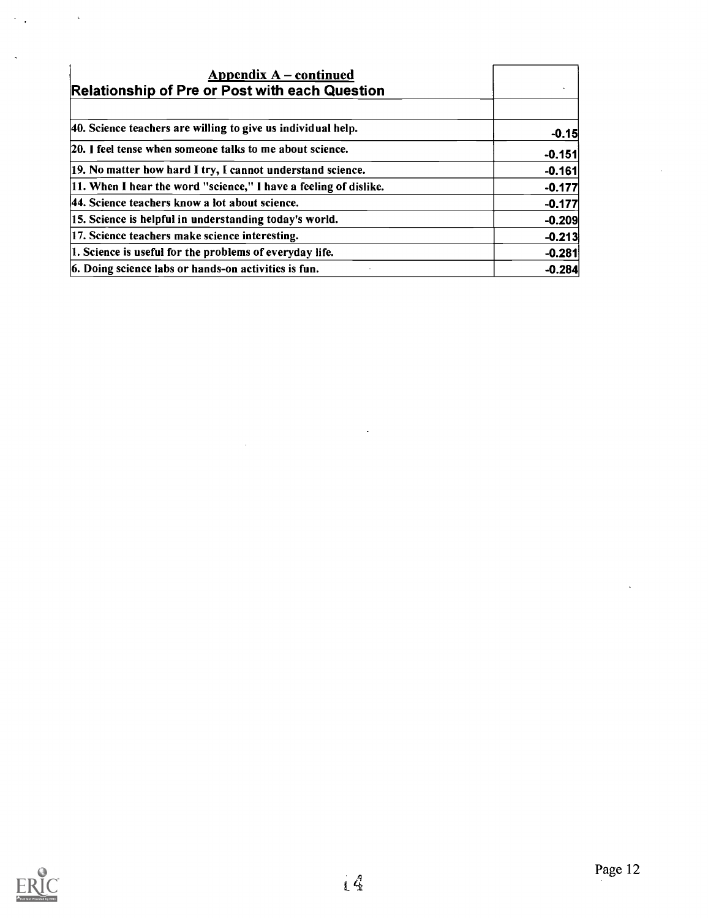| Appendix $A$ – continued<br><b>Relationship of Pre or Post with each Question</b> |          |
|-----------------------------------------------------------------------------------|----------|
| 40. Science teachers are willing to give us individual help.                      | $-0.15$  |
| [20.] feel tense when someone talks to me about science.                          | $-0.151$ |
| 19. No matter how hard I try, I cannot understand science.                        | $-0.161$ |
| [11. When I hear the word "science," I have a feeling of dislike.                 | $-0.177$ |
| 44. Science teachers know a lot about science.                                    | $-0.177$ |
| 15. Science is helpful in understanding today's world.                            | $-0.209$ |
| 17. Science teachers make science interesting.                                    | $-0.213$ |
| 1. Science is useful for the problems of everyday life.                           | $-0.281$ |
| 6. Doing science labs or hands-on activities is fun.                              | $-0.284$ |

 $\overline{\phantom{a}}$ 



 $\ddot{\phantom{0}}$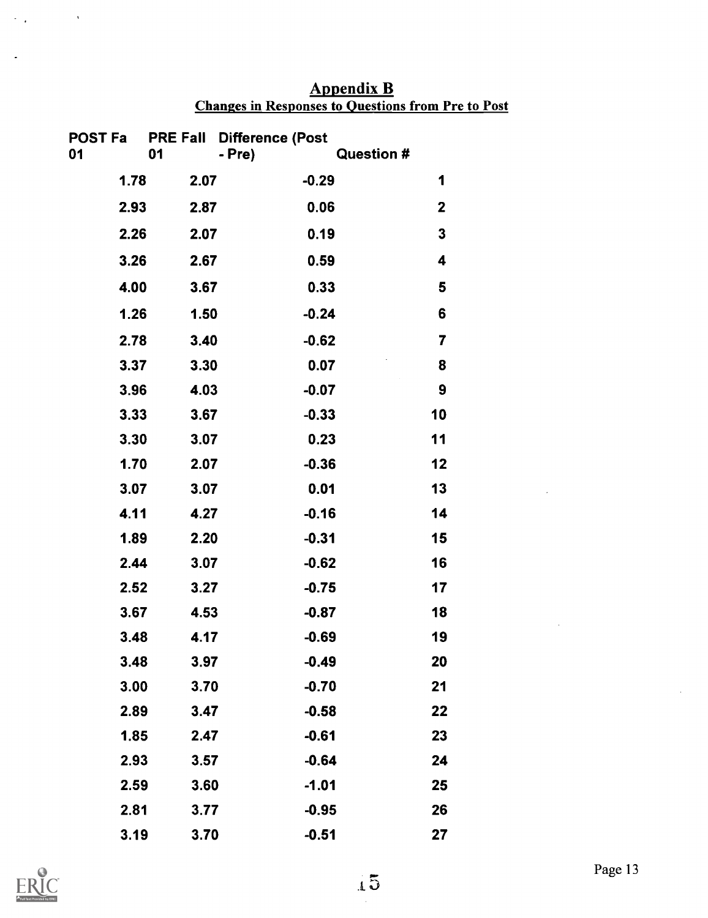| <b>Appendix B</b>                                         |  |
|-----------------------------------------------------------|--|
| <b>Changes in Responses to Questions from Pre to Post</b> |  |

| 01   |      | POST Fa PRE Fall Difference (Post |                   |  |
|------|------|-----------------------------------|-------------------|--|
|      | 01   | - Pre)                            | <b>Question #</b> |  |
| 1.78 | 2.07 | $-0.29$                           | 1                 |  |
| 2.93 | 2.87 | 0.06                              | $\mathbf{2}$      |  |
| 2.26 | 2.07 | 0.19                              | 3                 |  |
| 3.26 | 2.67 | 0.59                              | 4                 |  |
| 4.00 | 3.67 | 0.33                              | 5                 |  |
| 1.26 | 1.50 | $-0.24$                           | 6                 |  |
| 2.78 | 3.40 | $-0.62$                           | 7                 |  |
| 3.37 | 3.30 | 0.07                              | 8                 |  |
| 3.96 | 4.03 | $-0.07$                           | 9                 |  |
| 3.33 | 3.67 | $-0.33$                           | 10                |  |
| 3.30 | 3.07 | 0.23                              | 11                |  |
| 1.70 | 2.07 | $-0.36$                           | 12                |  |
| 3.07 | 3.07 | 0.01                              | 13                |  |
| 4.11 | 4.27 | $-0.16$                           | 14                |  |
| 1.89 | 2.20 | $-0.31$                           | 15                |  |
| 2.44 | 3.07 | $-0.62$                           | 16                |  |
| 2.52 | 3.27 | $-0.75$                           | 17                |  |
| 3.67 | 4.53 | $-0.87$                           | 18                |  |
| 3.48 | 4.17 | $-0.69$                           | 19                |  |
| 3.48 | 3.97 | $-0.49$                           | 20                |  |
| 3.00 | 3.70 | $-0.70$                           | 21                |  |
| 2.89 | 3.47 | $-0.58$                           | 22                |  |
| 1.85 | 2.47 | $-0.61$                           | 23                |  |
| 2.93 | 3.57 | $-0.64$                           | 24                |  |
| 2.59 | 3.60 | $-1.01$                           | 25                |  |
| 2.81 | 3.77 | $-0.95$                           | 26                |  |
| 3.19 | 3.70 | $-0.51$                           | 27                |  |



 $\ddot{\phantom{0}}$ 

 $\mathbb{R}^3$ 

 $\overline{a}$ 

 $\mathbb{Z}$ 

J.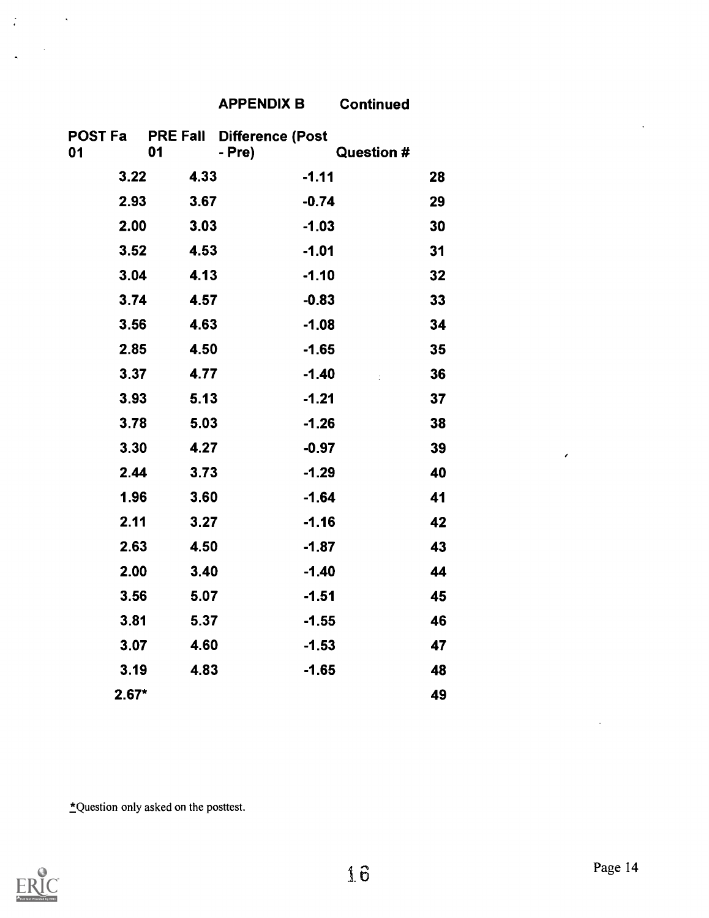| <b>APPENDIX B</b> | <b>Continued</b> |
|-------------------|------------------|
|-------------------|------------------|

|         |      | POST Fa  PRE Fall Difference (Post |                   |    |
|---------|------|------------------------------------|-------------------|----|
| 01      | 01   | - Pre)                             | <b>Question #</b> |    |
| 3.22    | 4.33 | $-1.11$                            |                   | 28 |
| 2.93    | 3.67 | $-0.74$                            |                   | 29 |
| 2.00    | 3.03 | $-1.03$                            |                   | 30 |
| 3.52    | 4.53 | $-1.01$                            |                   | 31 |
| 3.04    | 4.13 | $-1.10$                            |                   | 32 |
| 3.74    | 4.57 | $-0.83$                            |                   | 33 |
| 3.56    | 4.63 | $-1.08$                            |                   | 34 |
| 2.85    | 4.50 | $-1.65$                            |                   | 35 |
| 3.37    | 4.77 | $-1.40$                            | Ì.                | 36 |
| 3.93    | 5.13 | $-1.21$                            |                   | 37 |
| 3.78    | 5.03 | $-1.26$                            |                   | 38 |
| 3.30    | 4.27 | $-0.97$                            |                   | 39 |
| 2.44    | 3.73 | $-1.29$                            |                   | 40 |
| 1.96    | 3.60 | $-1.64$                            |                   | 41 |
| 2.11    | 3.27 | $-1.16$                            |                   | 42 |
| 2.63    | 4.50 | $-1.87$                            |                   | 43 |
| 2.00    | 3.40 | $-1.40$                            |                   | 44 |
| 3.56    | 5.07 | $-1.51$                            |                   | 45 |
| 3.81    | 5.37 | $-1.55$                            |                   | 46 |
| 3.07    | 4.60 | $-1.53$                            |                   | 47 |
| 3.19    | 4.83 | $-1.65$                            |                   | 48 |
| $2.67*$ |      |                                    |                   | 49 |

\*Question only asked on the posttest.



 $\mathcal{L}_{\text{max}}$  ,  $\mathcal{L}_{\text{max}}$ 

 $\mathbb{Z}$ 

 $\overline{\phantom{a}}$ 

 $\epsilon$ 

 $\epsilon$ 

 $\ddot{\phantom{0}}$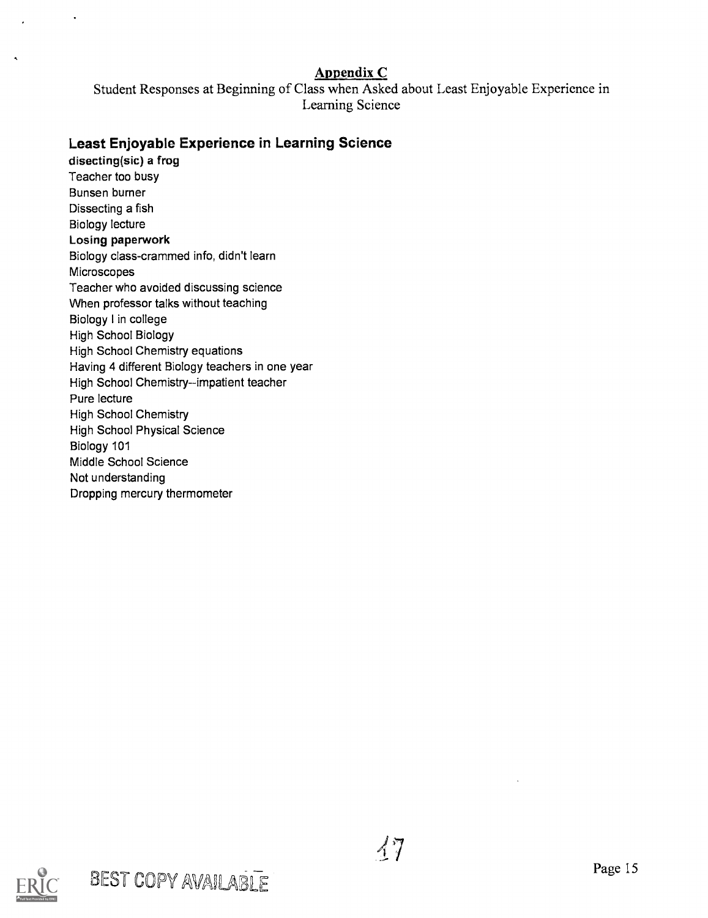### Appendix C

Student Responses at Beginning of Class when Asked about Least Enjoyable Experience in Learning Science

### Least Enjoyable Experience in Learning Science

disecting(sic) a frog Teacher too busy Bunsen burner Dissecting a fish Biology lecture Losing paperwork Biology class-crammed info, didn't learn **Microscopes** Teacher who avoided discussing science When professor talks without teaching Biology I in college High School Biology High School Chemistry equations Having 4 different Biology teachers in one year High School Chemistry--impatient teacher Pure lecture High School Chemistry High School Physical Science Biology 101 Middle School Science Not understanding Dropping mercury thermometer

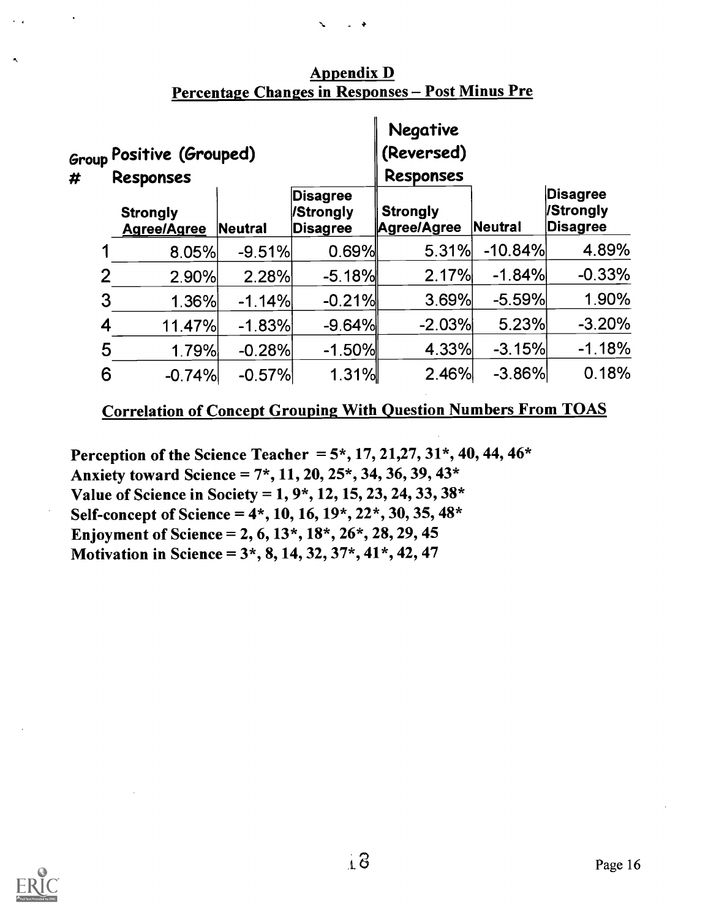| # |                | <sub>Group</sub> Positive (Grouped)<br>Responses |          |                                          | <b>Negative</b><br>(Reversed)<br><b>Responses</b> |           |                                          |
|---|----------------|--------------------------------------------------|----------|------------------------------------------|---------------------------------------------------|-----------|------------------------------------------|
|   |                | <b>Strongly</b><br><b>Agree/Agree</b>            | Neutral  | <b>Disagree</b><br>/Strongly<br>Disagree | <b>Strongly</b><br>Agree/Agree                    | Neutral   | <b>Disagree</b><br>/Strongly<br>Disagree |
|   |                | 8.05%                                            | $-9.51%$ | 0.69%                                    | 5.31%                                             | $-10.84%$ | 4.89%                                    |
|   | $\overline{2}$ | 2.90%                                            | 2.28%    | $-5.18%$                                 | 2.17%                                             | $-1.84%$  | $-0.33%$                                 |
|   | 3              | 1.36%                                            | $-1.14%$ | $-0.21%$                                 | 3.69%                                             | $-5.59%$  | 1.90%                                    |
|   | 4              | 11.47%                                           | $-1.83%$ | $-9.64%$                                 | $-2.03%$                                          | 5.23%     | $-3.20%$                                 |
|   | 5              | 1.79%                                            | $-0.28%$ | $-1.50%$                                 | 4.33%                                             | $-3.15%$  | $-1.18%$                                 |
|   | 6              | $-0.74%$                                         | $-0.57%$ | 1.31%                                    | 2.46%                                             | $-3.86%$  | 0.18%                                    |

### Appendix D Percentage Changes in Responses - Post Minus Pre

### Correlation of Concept Grouping With Question Numbers From TOAS

Perception of the Science Teacher =  $5^*$ , 17, 21, 27, 31 $^*$ , 40, 44, 46 $^*$ Anxiety toward Science =  $7^*$ , 11, 20, 25 $*$ , 34, 36, 39, 43 $*$ Value of Science in Society = 1, 9\*, 12, 15, 23, 24, 33, 38\* Self-concept of Science =  $4^*$ , 10, 16,  $19^*$ ,  $22^*$ , 30, 35,  $48^*$ Enjoyment of Science = 2, 6,  $13^*$ ,  $18^*$ ,  $26^*$ ,  $28$ ,  $29$ ,  $45$ Motivation in Science =  $3, 8, 14, 32, 37, 41, 42, 47$